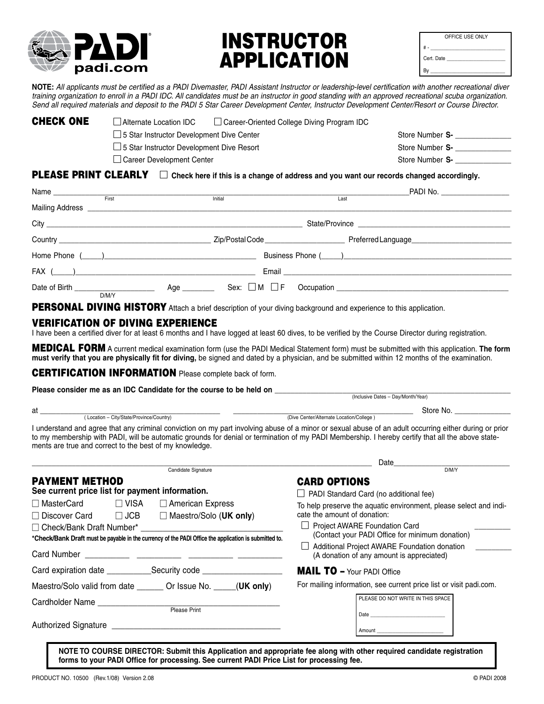

## INSTRUCTOR **APPLICATION**

| OFFICE USE ONLY |
|-----------------|
| $# -$           |
| Cert. Date      |
| Bγ              |

**NOTE:** *All applicants must be certified as a PADI Divemaster, PADI Assistant Instructor or leadership-level certification with another recreational diver training organization to enroll in a PADI IDC. All candidates must be an instructor in good standing with an approved recreational scuba organization. Send all required materials and deposit to the PADI 5 Star Career Development Center, Instructor Development Center/Resort or Course Director.*

| CHECK ONE | Alternate Location IDC                           | $\Box$ Career-Oriented College Diving Program IDC |                 |  |
|-----------|--------------------------------------------------|---------------------------------------------------|-----------------|--|
|           | $\Box$ 5 Star Instructor Development Dive Center |                                                   | Store Number S- |  |
|           | $\Box$ 5 Star Instructor Development Dive Resort |                                                   | Store Number S- |  |
|           | $\Box$ Career Development Center                 |                                                   | Store Number S- |  |
|           |                                                  |                                                   |                 |  |

#### **PLEASE PRINT CLEARLY**  $\Box$  Check here if this is a change of address and you want our records changed accordingly.

|                                  |              |         |      | PADI No. ____________________ |
|----------------------------------|--------------|---------|------|-------------------------------|
|                                  | First        | Initial | Last |                               |
| Mailing Address ________________ |              |         |      |                               |
|                                  |              |         |      |                               |
|                                  |              |         |      |                               |
|                                  |              |         |      |                               |
|                                  |              |         |      |                               |
|                                  | Age<br>D/M/Y |         |      |                               |

PERSONAL DIVING HISTORY Attach a brief description of your diving background and experience to this application.

#### VERIFICATION OF DIVING EXPERIENCE

I have been a certified diver for at least 6 months and I have logged at least 60 dives, to be verified by the Course Director during registration.

MEDICAL FORM A current medical examination form (use the PADI Medical Statement form) must be submitted with this application. **The form must verify that you are physically fit for diving,** be signed and dated by a physician, and be submitted within 12 months of the examination.

CERTIFICATION INFORMATION Please complete back of form.

| Please consider me as an IDC Candidate for the course to be held on                                   |  |                                                                                                                                                                                                                                                                                                             |  |  |
|-------------------------------------------------------------------------------------------------------|--|-------------------------------------------------------------------------------------------------------------------------------------------------------------------------------------------------------------------------------------------------------------------------------------------------------------|--|--|
|                                                                                                       |  | (Inclusive Dates - Day/Month/Year)                                                                                                                                                                                                                                                                          |  |  |
|                                                                                                       |  | Store No.                                                                                                                                                                                                                                                                                                   |  |  |
|                                                                                                       |  | (Dive Center/Alternate Location/College)                                                                                                                                                                                                                                                                    |  |  |
| ments are true and correct to the best of my knowledge.                                               |  | I understand and agree that any criminal conviction on my part involving abuse of a minor or sexual abuse of an adult occurring either during or prior<br>to my membership with PADI, will be automatic grounds for denial or termination of my PADI Membership. I hereby certify that all the above state- |  |  |
|                                                                                                       |  |                                                                                                                                                                                                                                                                                                             |  |  |
| Candidate Signature                                                                                   |  |                                                                                                                                                                                                                                                                                                             |  |  |
| PAYMENT METHOD                                                                                        |  | <b>CARD OPTIONS</b>                                                                                                                                                                                                                                                                                         |  |  |
| See current price list for payment information.                                                       |  | $\Box$ PADI Standard Card (no additional fee)                                                                                                                                                                                                                                                               |  |  |
| □ MasterCard     □ VISA<br>□ American Express                                                         |  | To help preserve the aquatic environment, please select and indi-                                                                                                                                                                                                                                           |  |  |
| $\Box$ Discover Card $\Box$ JCB<br>$\Box$ Maestro/Solo (UK only)                                      |  | cate the amount of donation:                                                                                                                                                                                                                                                                                |  |  |
|                                                                                                       |  | <b>Project AWARE Foundation Card</b>                                                                                                                                                                                                                                                                        |  |  |
| *Check/Bank Draft must be payable in the currency of the PADI Office the application is submitted to. |  | (Contact your PADI Office for minimum donation)                                                                                                                                                                                                                                                             |  |  |
|                                                                                                       |  | Additional Project AWARE Foundation donation<br>(A donation of any amount is appreciated)                                                                                                                                                                                                                   |  |  |
|                                                                                                       |  | <b>MAIL TO - Your PADI Office</b>                                                                                                                                                                                                                                                                           |  |  |
| Maestro/Solo valid from date ________ Or Issue No. ______ (UK only)                                   |  | For mailing information, see current price list or visit padi.com.                                                                                                                                                                                                                                          |  |  |
|                                                                                                       |  | PLEASE DO NOT WRITE IN THIS SPACE                                                                                                                                                                                                                                                                           |  |  |
|                                                                                                       |  | Date and the state of the state of the state of the state of the state of the state of the state of the state of the state of the state of the state of the state of the state of the state of the state of the state of the s                                                                              |  |  |
|                                                                                                       |  |                                                                                                                                                                                                                                                                                                             |  |  |
|                                                                                                       |  |                                                                                                                                                                                                                                                                                                             |  |  |

**NOTE TO COURSE DIRECTOR: Submit this Application and appropriate fee along with other required candidate registration forms to your PADI Office for processing. See current PADI Price List for processing fee.**